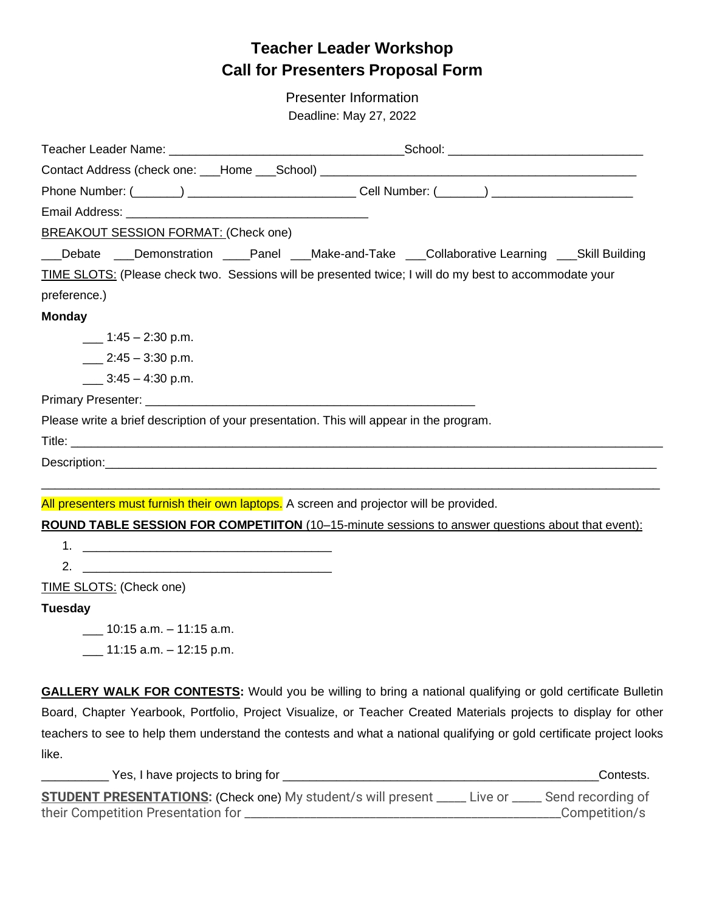# **Teacher Leader Workshop Call for Presenters Proposal Form**

Presenter Information Deadline: May 27, 2022

|                                                                                         | Phone Number: (Channel Allen Collection Cell Number: (Channel Allen Collection Cell Number: (Channel Cell Number: (Channel Cell Number: (Channel Collection Collection Collection Collection Collection Collection Collection |
|-----------------------------------------------------------------------------------------|-------------------------------------------------------------------------------------------------------------------------------------------------------------------------------------------------------------------------------|
|                                                                                         |                                                                                                                                                                                                                               |
| BREAKOUT SESSION FORMAT: (Check one)                                                    |                                                                                                                                                                                                                               |
|                                                                                         | ___Debate ____Demonstration ____Panel ___Make-and-Take ___Collaborative Learning ___Skill Building                                                                                                                            |
|                                                                                         | TIME SLOTS: (Please check two. Sessions will be presented twice; I will do my best to accommodate your                                                                                                                        |
| preference.)                                                                            |                                                                                                                                                                                                                               |
| <b>Monday</b>                                                                           |                                                                                                                                                                                                                               |
| $-1:45 - 2:30$ p.m.                                                                     |                                                                                                                                                                                                                               |
| $2:45 - 3:30$ p.m.                                                                      |                                                                                                                                                                                                                               |
| $\frac{3:45-4:30 \text{ p.m.}}{2}$                                                      |                                                                                                                                                                                                                               |
|                                                                                         |                                                                                                                                                                                                                               |
| Please write a brief description of your presentation. This will appear in the program. |                                                                                                                                                                                                                               |
|                                                                                         |                                                                                                                                                                                                                               |
|                                                                                         |                                                                                                                                                                                                                               |
|                                                                                         |                                                                                                                                                                                                                               |
| All presenters must furnish their own laptops. A screen and projector will be provided. |                                                                                                                                                                                                                               |
|                                                                                         | ROUND TABLE SESSION FOR COMPETIITON (10-15-minute sessions to answer questions about that event):                                                                                                                             |
|                                                                                         |                                                                                                                                                                                                                               |
|                                                                                         |                                                                                                                                                                                                                               |
| TIME SLOTS: (Check one)                                                                 |                                                                                                                                                                                                                               |
| <b>Tuesday</b>                                                                          |                                                                                                                                                                                                                               |
| $\frac{1}{2}$ 10:15 a.m. - 11:15 a.m.                                                   |                                                                                                                                                                                                                               |
| $\frac{1}{2}$ 11:15 a.m. - 12:15 p.m.                                                   |                                                                                                                                                                                                                               |

**GALLERY WALK FOR CONTESTS:** Would you be willing to bring a national qualifying or gold certificate Bulletin Board, Chapter Yearbook, Portfolio, Project Visualize, or Teacher Created Materials projects to display for other teachers to see to help them understand the contests and what a national qualifying or gold certificate project looks like.

| Yes, I have projects to bring for                                                                         | Contests.      |
|-----------------------------------------------------------------------------------------------------------|----------------|
| <b>STUDENT PRESENTATIONS:</b> (Check one) My student/s will present _____ Live or _____ Send recording of |                |
| their Competition Presentation for _                                                                      | _Competition/s |